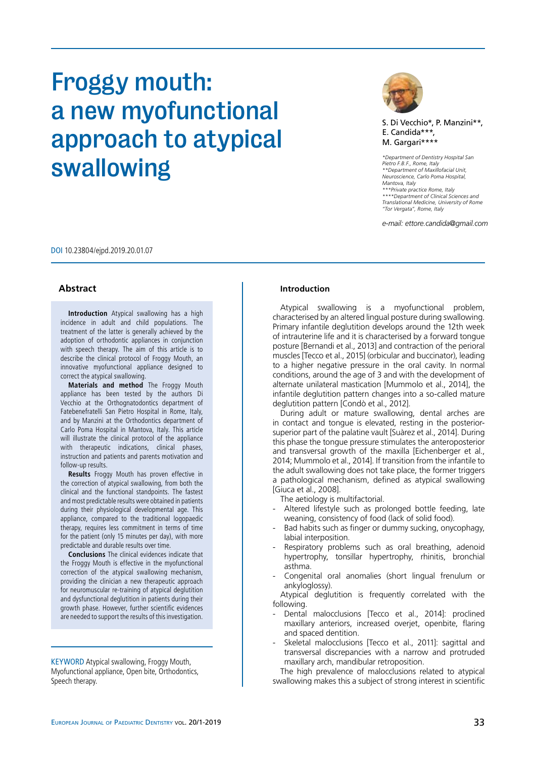# Froggy mouth: a new myofunctional approach to atypical swallowing



S. Di Vecchio\*, P. Manzini\*\*, E. Candida\*\*\*, M. Gargari\*\*\*\*

*\*Department of Dentistry Hospital San Pietro F.B.F., Rome, Italy \*\*Department of Maxillofacial Unit, Neuroscience, Carlo Poma Hospital, Mantova, Italy \*\*\*Private practice Rome, Italy \*\*\*\*Department of Clinical Sciences and Translational Medicine, University of Rome "Tor Vergata", Rome, Italy*

*e-mail: ettore.candida@gmail.com*

DOI 10.23804/ejpd.2019.20.01.07

# **Abstract**

**Introduction** Atypical swallowing has a high incidence in adult and child populations. The treatment of the latter is generally achieved by the adoption of orthodontic appliances in conjunction with speech therapy. The aim of this article is to describe the clinical protocol of Froggy Mouth, an innovative myofunctional appliance designed to correct the atypical swallowing.

**Materials and method** The Froggy Mouth appliance has been tested by the authors Di Vecchio at the Orthognatodontics department of Fatebenefratelli San Pietro Hospital in Rome, Italy, and by Manzini at the Orthodontics department of Carlo Poma Hospital in Mantova, Italy. This article will illustrate the clinical protocol of the appliance with therapeutic indications, clinical phases, instruction and patients and parents motivation and follow-up results.

**Results** Froggy Mouth has proven effective in the correction of atypical swallowing, from both the clinical and the functional standpoints. The fastest and most predictable results were obtained in patients during their physiological developmental age. This appliance, compared to the traditional logopaedic therapy, requires less commitment in terms of time for the patient (only 15 minutes per day), with more predictable and durable results over time.

**Conclusions** The clinical evidences indicate that the Froggy Mouth is effective in the myofunctional correction of the atypical swallowing mechanism, providing the clinician a new therapeutic approach for neuromuscular re-training of atypical deglutition and dysfunctional deglutition in patients during their growth phase. However, further scientific evidences are needed to support the results of this investigation.

KEYWORD Atypical swallowing, Froggy Mouth, Myofunctional appliance, Open bite, Orthodontics, Speech therapy.

## **Introduction**

Atypical swallowing is a myofunctional problem, characterised by an altered lingual posture during swallowing. Primary infantile deglutition develops around the 12th week of intrauterine life and it is characterised by a forward tongue posture [Bernandi et al., 2013] and contraction of the perioral muscles [Tecco et al., 2015] (orbicular and buccinator), leading to a higher negative pressure in the oral cavity. In normal conditions, around the age of 3 and with the development of alternate unilateral mastication [Mummolo et al., 2014], the infantile deglutition pattern changes into a so-called mature deglutition pattern [Condò et al., 2012].

During adult or mature swallowing, dental arches are in contact and tongue is elevated, resting in the posteriorsuperior part of the palatine vault [Suàrez et al., 2014]. During this phase the tongue pressure stimulates the anteroposterior and transversal growth of the maxilla [Eichenberger et al., 2014; Mummolo et al., 2014]. If transition from the infantile to the adult swallowing does not take place, the former triggers a pathological mechanism, defined as atypical swallowing [Giuca et al., 2008].

The aetiology is multifactorial.

- Altered lifestyle such as prolonged bottle feeding, late weaning, consistency of food (lack of solid food).
- Bad habits such as finger or dummy sucking, onycophagy, labial interposition.
- Respiratory problems such as oral breathing, adenoid hypertrophy, tonsillar hypertrophy, rhinitis, bronchial asthma.
- Congenital oral anomalies (short lingual frenulum or ankyloglossy).

Atypical deglutition is frequently correlated with the following.

- Dental malocclusions [Tecco et al., 2014]: proclined maxillary anteriors, increased overjet, openbite, flaring and spaced dentition.
- Skeletal malocclusions [Tecco et al., 2011]: sagittal and transversal discrepancies with a narrow and protruded maxillary arch, mandibular retroposition.

The high prevalence of malocclusions related to atypical swallowing makes this a subject of strong interest in scientific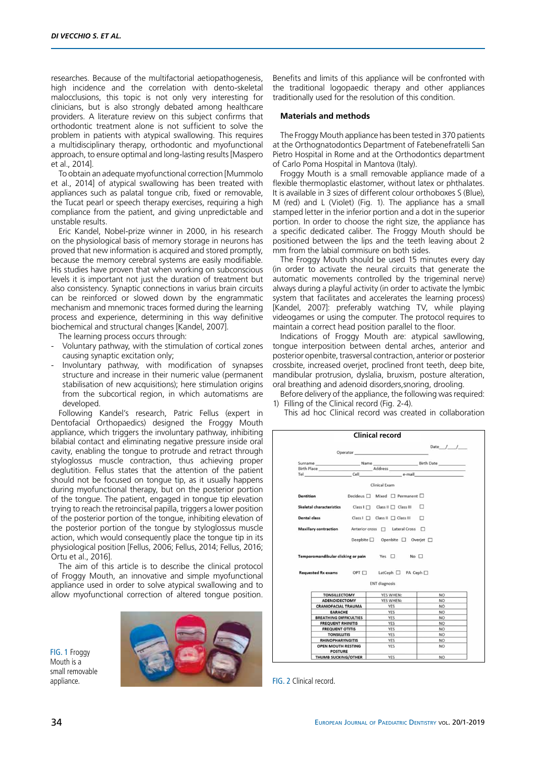researches. Because of the multifactorial aetiopathogenesis, high incidence and the correlation with dento-skeletal malocclusions, this topic is not only very interesting for clinicians, but is also strongly debated among healthcare providers. A literature review on this subject confirms that orthodontic treatment alone is not sufficient to solve the problem in patients with atypical swallowing. This requires a multidisciplinary therapy, orthodontic and myofunctional approach, to ensure optimal and long-lasting results [Maspero et al., 2014].

To obtain an adequate myofunctional correction [Mummolo et al., 2014] of atypical swallowing has been treated with appliances such as palatal tongue crib, fixed or removable, the Tucat pearl or speech therapy exercises, requiring a high compliance from the patient, and giving unpredictable and unstable results.

Eric Kandel, Nobel-prize winner in 2000, in his research on the physiological basis of memory storage in neurons has proved that new information is acquired and stored promptly, because the memory cerebral systems are easily modifiable. His studies have proven that when working on subconscious levels it is important not just the duration of treatment but also consistency. Synaptic connections in varius brain circuits can be reinforced or slowed down by the engrammatic mechanism and mnemonic traces formed during the learning process and experience, determining in this way definitive biochemical and structural changes [Kandel, 2007].

The learning process occurs through:

- Voluntary pathway, with the stimulation of cortical zones causing synaptic excitation only;
- Involuntary pathway, with modification of synapses structure and increase in their numeric value (permanent stabilisation of new acquisitions); here stimulation origins from the subcortical region, in which automatisms are developed.

Following Kandel's research, Patric Fellus (expert in Dentofacial Orthopaedics) designed the Froggy Mouth appliance, which triggers the involuntary pathway, inhibiting bilabial contact and eliminating negative pressure inside oral cavity, enabling the tongue to protrude and retract through styloglossus muscle contraction, thus achieving proper deglutition. Fellus states that the attention of the patient should not be focused on tongue tip, as it usually happens during myofunctional therapy, but on the posterior portion of the tongue. The patient, engaged in tongue tip elevation trying to reach the retroincisal papilla, triggers a lower position of the posterior portion of the tongue, inhibiting elevation of the posterior portion of the tongue by styloglossus muscle action, which would consequently place the tongue tip in its physiological position [Fellus, 2006; Fellus, 2014; Fellus, 2016; Ortu et al., 2016].

The aim of this article is to describe the clinical protocol of Froggy Mouth, an innovative and simple myofunctional appliance used in order to solve atypical swallowing and to allow myofunctional correction of altered tongue position.

FIG. 1 Froggy Mouth is a small removable appliance.



Benefits and limits of this appliance will be confronted with the traditional logopaedic therapy and other appliances traditionally used for the resolution of this condition.

# **Materials and methods**

The Froggy Mouth appliance has been tested in 370 patients at the Orthognatodontics Department of Fatebenefratelli San Pietro Hospital in Rome and at the Orthodontics department of Carlo Poma Hospital in Mantova (Italy).

Froggy Mouth is a small removable appliance made of a flexible thermoplastic elastomer, without latex or phthalates. It is available in 3 sizes of different colour orthoboxes S (Blue), M (red) and L (Violet) (Fig. 1). The appliance has a small stamped letter in the inferior portion and a dot in the superior portion. In order to choose the right size, the appliance has a specific dedicated caliber. The Froggy Mouth should be positioned between the lips and the teeth leaving about 2 mm from the labial commisure on both sides.

The Froggy Mouth should be used 15 minutes every day (in order to activate the neural circuits that generate the automatic movements controlled by the trigeminal nerve) always during a playful activity (in order to activate the lymbic system that facilitates and accelerates the learning process) [Kandel, 2007]: preferably watching TV, while playing videogames or using the computer. The protocol requires to maintain a correct head position parallel to the floor.

Indications of Froggy Mouth are: atypical sawllowing, tongue interposition between dental arches, anterior and posterior openbite, trasversal contraction, anterior or posterior crossbite, increased overjet, proclined front teeth, deep bite, mandibular protrusion, dyslalia, bruxism, posture alteration, oral breathing and adenoid disorders,snoring, drooling.

Before delivery of the appliance, the following was required: 1) Filling of the Clinical record (Fig. 2-4).

This ad hoc Clinical record was created in collaboration



FIG. 2 Clinical record.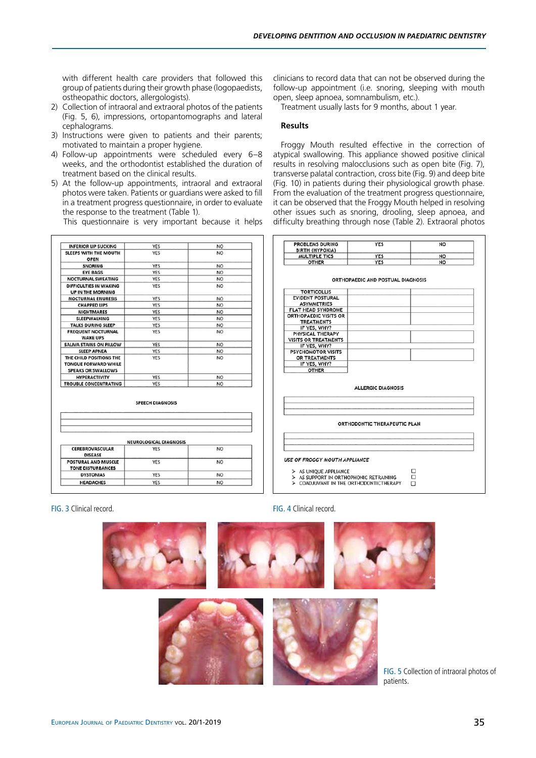with different health care providers that followed this group of patients during their growth phase (logopaedists, ostheopathic doctors, allergologists).

- 2) Collection of intraoral and extraoral photos of the patients (Fig. 5, 6), impressions, ortopantomographs and lateral cephalograms.
- 3) Instructions were given to patients and their parents; motivated to maintain a proper hygiene.
- 4) Follow-up appointments were scheduled every 6–8 weeks, and the orthodontist established the duration of treatment based on the clinical results.
- 5) At the follow-up appointments, intraoral and extraoral photos were taken. Patients or guardians were asked to fill in a treatment progress questionnaire, in order to evaluate the response to the treatment (Table 1).

This questionnaire is very important because it helps

| <b>INFERIOR LIP SUCKING</b>                                                         | YES        | <b>NO</b>       |
|-------------------------------------------------------------------------------------|------------|-----------------|
| SLEEPS WITH THE MOUTH<br><b>OPEN</b>                                                | YES        | <b>NO</b>       |
| <b>SNORING</b>                                                                      | <b>YES</b> | <b>NO</b>       |
| <b>EYE BAGS</b>                                                                     | <b>YES</b> | N <sub>O</sub>  |
| <b>NOCTURNAL SWEATING</b>                                                           | <b>YES</b> | <b>NO</b>       |
| DIFFICULTIES IN WAKING<br>UP IN THE MORNING                                         | <b>YES</b> | <b>NO</b>       |
| <b>NOCTURNAL ENURESIS</b>                                                           | YES        | <b>NO</b>       |
| <b>CHAPPED LIPS</b>                                                                 | <b>YES</b> | <b>NO</b>       |
| <b>NIGHTMARES</b>                                                                   | <b>YES</b> | <b>NO</b>       |
| <b>SLEEPWALKING</b>                                                                 | YES        | N <sub>O</sub>  |
| <b>TALKS DURING SLEEP</b>                                                           | YES        | <b>NO</b>       |
| <b>FREQUENT NOCTURNAL</b><br><b>WAKE UPS</b>                                        | YES        | <b>NO</b>       |
| SALIVA STAINS ON PILLOW                                                             | YES        | N <sub>O</sub>  |
| <b>SLEEP APNEA</b>                                                                  | YES        | NO <sub>1</sub> |
| THE CHILD POSITIONS THE<br><b>TONGUE FORWARD WHILE</b><br><b>SPEAKS OR SWALLOWS</b> | <b>YES</b> | NO <sub>1</sub> |
| <b>HYPERACTIVITY</b>                                                                | YES        | <b>NO</b>       |
| <b>TROUBLE CONCENTRATING</b>                                                        | YES        | <b>NO</b>       |

|                                                        | <b>SPEECH DIAGNOSIS</b>       |     |
|--------------------------------------------------------|-------------------------------|-----|
|                                                        |                               |     |
|                                                        |                               |     |
|                                                        | <b>NEUROLOGICAL DIAGNOSIS</b> |     |
| <b>CEREBROVASCULAR</b><br><b>DISEASE</b>               | <b>YES</b>                    | NO. |
| <b>POSTURAL AND MUSCLE</b><br><b>TONE DISTURBANCES</b> | YES                           | NO. |
| <b>DYSTONIAS</b>                                       | <b>YES</b>                    | NO. |
|                                                        |                               |     |

clinicians to record data that can not be observed during the follow-up appointment (i.e. snoring, sleeping with mouth open, sleep apnoea, somnambulism, etc.).

Treatment usually lasts for 9 months, about 1 year.

## **Results**

Froggy Mouth resulted effective in the correction of atypical swallowing. This appliance showed positive clinical results in resolving malocclusions such as open bite (Fig. 7), transverse palatal contraction, cross bite (Fig. 9) and deep bite (Fig. 10) in patients during their physiological growth phase. From the evaluation of the treatment progress questionnaire, it can be observed that the Froggy Mouth helped in resolving other issues such as snoring, drooling, sleep apnoea, and difficulty breathing through nose (Table 2). Extraoral photos

| <b>PROBLEMS DURING</b><br>BIRTH (HYPOXIA) | YES        | <b>NO</b> |
|-------------------------------------------|------------|-----------|
| <b>MULTIPLE TICS</b>                      | YES        | NO        |
| <b>OTHER</b>                              | <b>YES</b> | NO        |
|                                           |            |           |

| <b>TORTICOLLIS</b>                                    |                              |  |
|-------------------------------------------------------|------------------------------|--|
| <b>EVIDENT POSTURAL</b>                               |                              |  |
| <b>ASYMMETRIES</b>                                    |                              |  |
| FLAT HEAD SYNDROME                                    |                              |  |
| <b>ORTHOPAEDIC VISITS OR</b>                          |                              |  |
| <b>TREATMENTS</b>                                     |                              |  |
| IF YES, WHY?                                          |                              |  |
| PHYSICAL THERAPY                                      |                              |  |
| VISITS OR TREATMENTS                                  |                              |  |
| IF YES, WHY?                                          |                              |  |
| <b>PSYCHOMOTOR VISITS</b>                             |                              |  |
| OR TREATMENTS                                         |                              |  |
| IF YES, WHY?                                          |                              |  |
| <b>OTHER</b>                                          |                              |  |
|                                                       | <b>ALLERGIC DIAGNOSIS</b>    |  |
|                                                       |                              |  |
|                                                       | ORTHODONTIC THERAPEUTIC PLAN |  |
|                                                       |                              |  |
| USE OF FROGGY MOUTH APPLIANCE                         |                              |  |
| > AS UNIQUE APPLIANCE                                 |                              |  |
| $\triangleright$ AS SUPPORT IN ORTHOPHONIC RETRAINING |                              |  |
|                                                       |                              |  |

> COADJUVANT IN THE ORTHODONTICTHERAPY

#### FIG. 3 Clinical record. FIG. 4 Clinical record.



FIG. 5 Collection of intraoral photos of patients.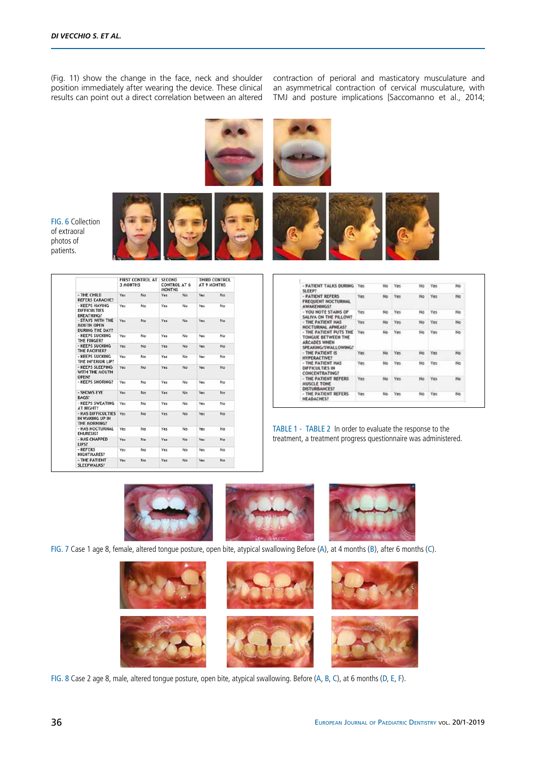(Fig. 11) show the change in the face, neck and shoulder position immediately after wearing the device. These clinical results can point out a direct correlation between an altered

contraction of perioral and masticatory musculature and an asymmetrical contraction of cervical musculature, with TMJ and posture implications [Saccomanno et al., 2014;



FIG. 6 Collection of extraoral photos of patients.

|                                                                 | FIRST CONTROL AT<br><b>3 MONTHS</b> |     | <b>SECOND</b><br><b>CONTROL AT 6</b><br><b>MONTHS</b> |     | THIRD CONTROL<br>AT 9 MONTHS |     |
|-----------------------------------------------------------------|-------------------------------------|-----|-------------------------------------------------------|-----|------------------------------|-----|
| - THE CHILD<br><b>REFERS EARACHE?</b>                           | Yes                                 | No  | Yes                                                   | No  | Yes                          | No: |
| - KEEPS HAVING<br><b>DIFFICULTIES</b><br><b>BREATHING?</b>      | Yes                                 | No. | Yes                                                   | No  | Yes                          | No. |
| - STAYS WITH THE<br><b>MOUTH OPEN</b><br><b>DURING THE DAY?</b> | Yes                                 | No  | Yes                                                   | No: | Yes                          | No. |
| - KEEPS SUCKING<br>THE FINGER?                                  | Yes                                 | No  | Yes                                                   | No. | Yes                          | No  |
| - KEEPS SUCKING<br>THE PACIFIER?                                | Yes                                 | No  | Yes                                                   | No. | Yes                          | No  |
| - KEEPS SUCKING<br>THE INFERIOR LIP?                            | Yes                                 | No  | Yes                                                   | No. | Yes                          | No  |
| - KEEPS SLEEPING<br>WITH THE MOUTH<br>OPEN?                     | Yes                                 | No  | Yes                                                   | No  | Yes                          | No. |
| - KEEPS SNORING?                                                | Yes                                 | No  | Yes                                                   | No. | Yes                          | No. |
| - SHOWS EYE<br>BAGS?                                            | Yes                                 | No  | Yes                                                   | No  | Yes                          | No  |
| - KEEPS SWEATING<br>AT NIGHT?                                   | Yes                                 | No  | Yes                                                   | No. | Yes                          | No. |
| - HAS DIFFICULTIES<br>IN WAKING UP IN<br>THE MORNING?           | Yes                                 | No  | <b>Yes</b>                                            | No  | <b>Yes</b>                   | No. |
| - HAS NOCTURNAL<br><b>ENURESIS?</b>                             | Yes                                 | No  | Yes                                                   | No  | Yes                          | No  |
| - HAS CHAPPED<br>LIPS?                                          | Yes:                                | No  | Yes                                                   | No. | Yes                          | No  |
| - REFERS<br>NIGHTMARES?                                         | Yes                                 | No  | Yes                                                   | No  | Yes.                         | No  |
| - THE PATIENT<br><b>SLEEPWALKS?</b>                             | Yes                                 | No  | Yes                                                   | No  | Yes                          | No  |

| - PATIENT TALKS DURING<br><b>SLEEP!</b>                                                     | Yes. | No  | Yes  | No | Yes  | No           |
|---------------------------------------------------------------------------------------------|------|-----|------|----|------|--------------|
| - PATIENT REFERS<br><b>FREQUENT NOCTURNAL</b><br>AWAKENINGS?                                | Yes  | No. | Yes  | No | Yes: | No           |
| - YOU NOTE STAINS OF<br>SALIVA ON THE PILLOW?                                               | Yes  | No  | Yes  | No | Yes  | No           |
| - THE PATIENT HAS<br><b>NOCTURNAL APNEAS?</b>                                               | Yes: | No  | Yes. | No | Yes  | No.          |
| - THE PATIENT PUTS THE<br>TONGUE BETWEEN THE<br><b>ARCADES WHEN</b><br>SPEAKING/SWALLOWING? | Yes. | No. | Yes: | No | Yes  | No           |
| - THE PATIENT IS<br><b>HYPERACTIVE!</b>                                                     | Yes  | No  | Yes  | No | Yes  | No           |
| - THE PATIENT HAS<br><b>DIFFICULTIES IN</b><br><b>CONCENTRATING?</b>                        | Yes  | No  | Yes  | No | Yes  | No           |
| - THE PATIENT REFERS<br><b>MUSCLE TONE</b><br><b>DISTURBANCES?</b>                          | Yes  | No  | Yes  | No | Yes  | No<br>$\sim$ |
| - THE PATIENT REFERS<br>HEADACHES?                                                          | Yes. | No. | Yes. | No | Yes: | No           |

TABLE 1 - TABLE 2 In order to evaluate the response to the treatment, a treatment progress questionnaire was administered.



FIG. 7 Case 1 age 8, female, altered tongue posture, open bite, atypical swallowing Before (A), at 4 months (B), after 6 months (C).



FIG. 8 Case 2 age 8, male, altered tongue posture, open bite, atypical swallowing. Before (A, B, C), at 6 months (D, E, F).